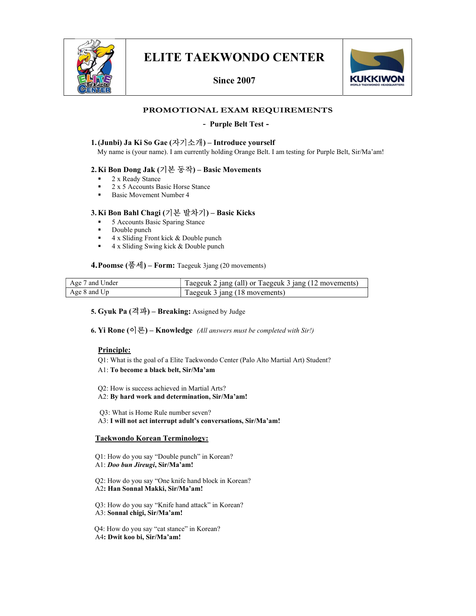

# ELITE TAEKWONDO CENTER

Since 2007



# PROMOTIONAL EXAM REQUIREMENTS

#### - Purple Belt Test -

#### 1.(Junbi) Ja Ki So Gae (자기소개) – Introduce yourself

My name is (your name). I am currently holding Orange Belt. I am testing for Purple Belt, Sir/Ma'am!

### 2.Ki Bon Dong Jak (기본 동작) – Basic Movements

- 2 x Ready Stance
- 2 x 5 Accounts Basic Horse Stance
- Basic Movement Number 4

# 3.Ki Bon Bahl Chagi (기본 발차기) – Basic Kicks

- 5 Accounts Basic Sparing Stance
- Double punch
- $\blacksquare$  4 x Sliding Front kick & Double punch
- 4 x Sliding Swing kick & Double punch

#### 4.Poomse (품세) – Form: Taegeuk 3jang (20 movements)

| Age 7 and Under | Taegeuk 2 jang (all) or Taegeuk 3 jang (12 movements) |
|-----------------|-------------------------------------------------------|
| Age 8 and Up    | Taegeuk 3 jang (18 movements)                         |

#### 5. Gyuk Pa  $(\vec{2} \vec{w})$  – Breaking: Assigned by Judge

6. Yi Rone  $[0]$ 론) – Knowledge (All answers must be completed with Sir!)

#### Principle:

- Q1: What is the goal of a Elite Taekwondo Center (Palo Alto Martial Art) Student?
- A1: To become a black belt, Sir/Ma'am
- Q2: How is success achieved in Martial Arts?
- A2: By hard work and determination, Sir/Ma'am!

 Q3: What is Home Rule number seven? A3: I will not act interrupt adult's conversations, Sir/Ma'am!

#### Taekwondo Korean Terminology:

- Q1: How do you say "Double punch" in Korean?
- A1: Doo bun Jireugi, Sir/Ma'am!
- Q2: How do you say "One knife hand block in Korean? A2: Han Sonnal Makki, Sir/Ma'am!
- Q3: How do you say "Knife hand attack" in Korean?
- A3: Sonnal chigi, Sir/Ma'am!
- Q4: How do you say "cat stance" in Korean?
- A4: Dwit koo bi, Sir/Ma'am!